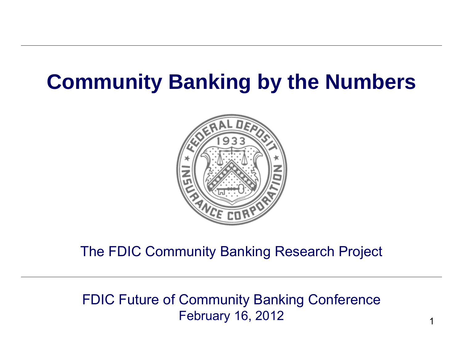# **Community Banking by the Numbers**



#### The FDIC Community Banking Research Project

#### FDIC Future of Community Banking Conference February 16, 2012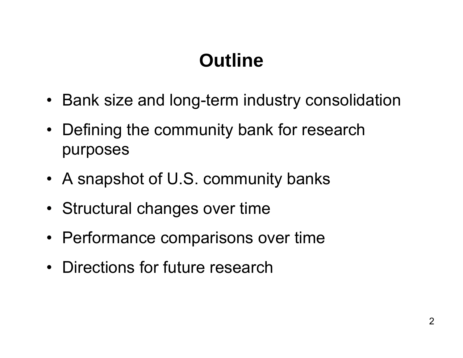# **Outline**

- Bank size and long-term industry consolidation
- Defining the community bank for research purposes
- A snapshot of U.S. community banks
- Structural changes over time
- Performance comparisons over time
- Directions for future research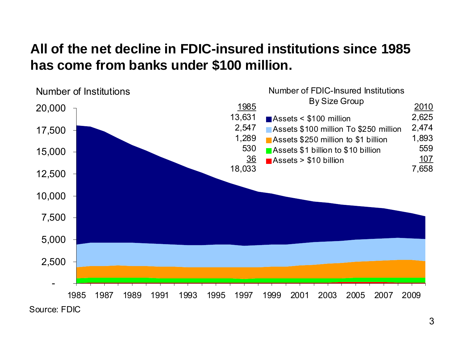### **All of the net decline in FDIC-insured institutions since 1985 has come from banks under \$100 million.**

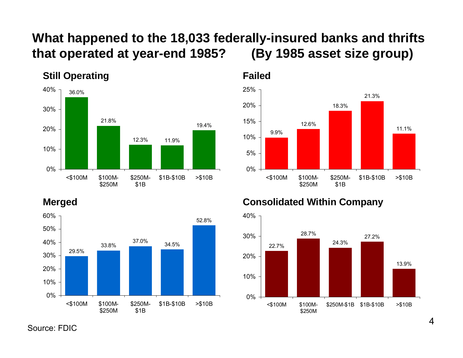#### **What happened to the 18,033 federally-insured banks and thrifts that operated at year-end 1985? (By 1985 asset size group)**



#### **Still Operating**



#### **Merged**



**Consolidated Within Company**



Source: FDIC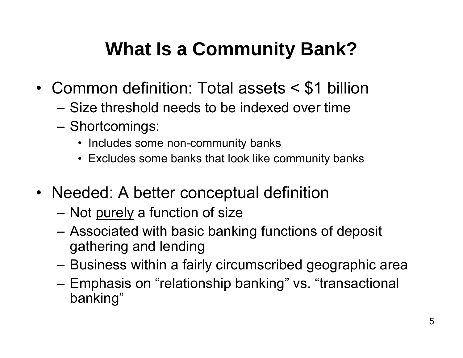# **What Is a Community Bank?**

- • Common definition: Total assets < \$1 billion
	- Size threshold needs to be indexed over time
	- –— Shortcomings:
		- Includes some non-community banks
		- Excludes some banks that look like community banks
- Needed: A better conceptual definition
	- –– Not <u>purely</u> a function of size
	- Associated with basic banking functions of deposit gathering and lending
	- –Business within a fairly circumscribed geographic area
	- –– Emphasis on "relationship banking" vs. "transactional banking"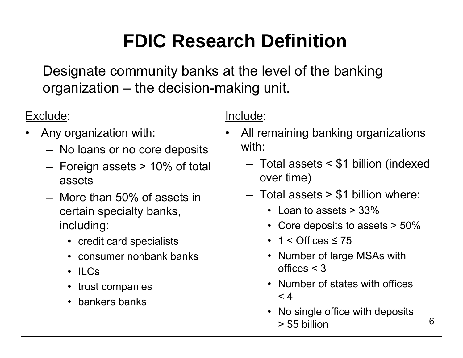# **FDIC Research Definition**

Designate community banks at the level of the banking organization – the decision-making unit.

### Exclude:

- • Any organization with:
	- $\hspace{0.1mm}-\hspace{0.1mm}$  No loans or no core deposits
	- Foreign assets > 10% of total assets
	- More than 50% of assets in certain specialty banks, including:
		- credit card specialists
		- consumer nonbank banks
		- ILCs
		- trust companies
		- bankers banks

#### Include:

- $\bullet$  All remaining banking organizations with:
	- Total assets < \$1 billion (indexed over time)
	- Total assets > \$1 billion where:
		- Loan to assets > 33%
		- Core deposits to assets > 50%
		- 1 < Offices ≤ 75
		- Number of large MSAs with offices < 3
		- Number of states with offices $< 4$
		- No single office with deposits > \$5 billion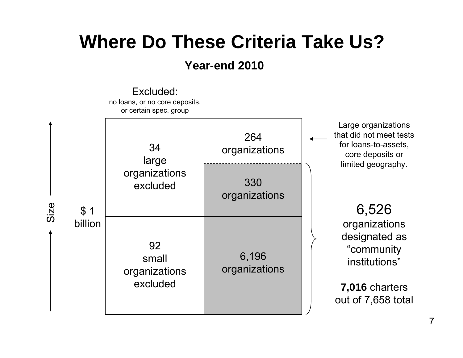### **Where Do These Criteria Take Us?**

#### **Year-end 2010**

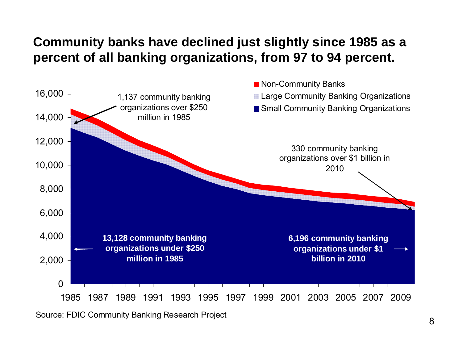#### **Community banks have declined just slightly since 1985 as a percent of all banking organizations, from 97 to 94 percent.**

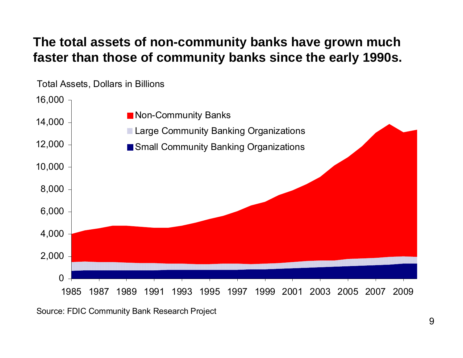#### **The total assets of non-community banks have grown much faster than those of community banks since the early 1990s.**

Total Assets, Dollars in Billions

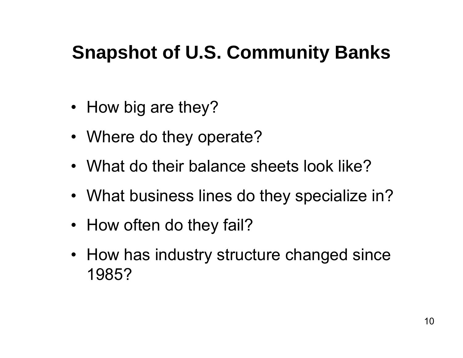# **Snapshot of U.S. Community Banks**

- How big are they?
- Where do they operate?
- What do their balance sheets look like?
- What business lines do they specialize in?
- How often do they fail?
- How has industry structure changed since 1985?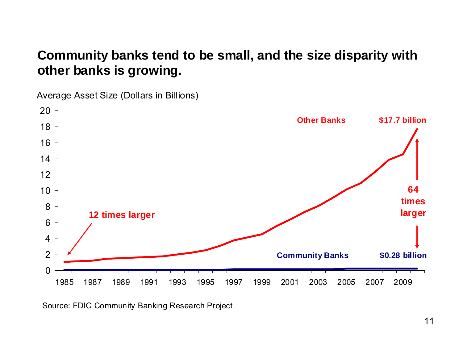#### **Community banks tend to be small, and the size disparity with other banks is growing.**

Average Asset Size (Dollars in Billions)

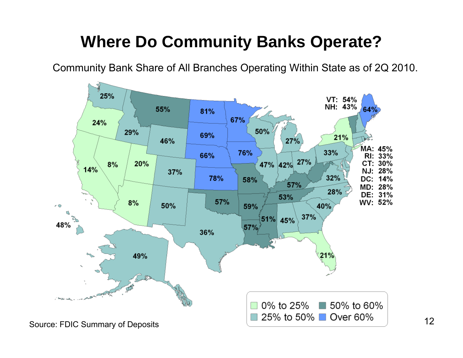### **Where Do Community Banks Operate?**

Community Bank Share of All Branches Operating Within State as of 2Q 2010.

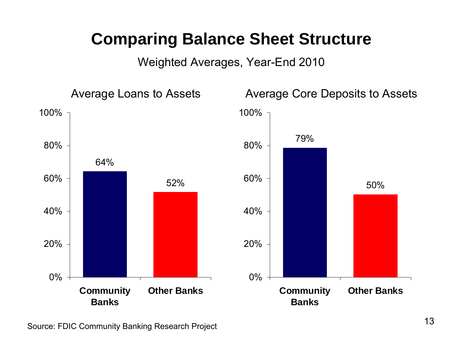### **Comparing Balance Sheet Structure**

Weighted Averages, Year-End 2010

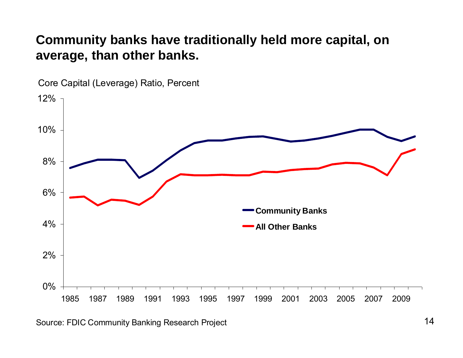#### **Community banks have traditionally held more capital, on average, than other banks.**

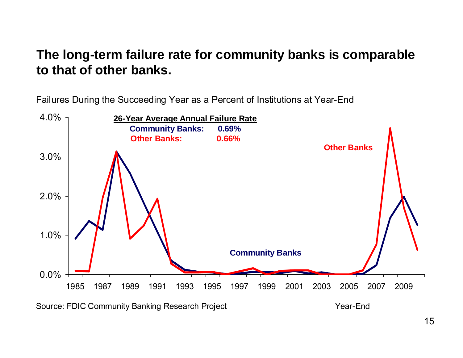#### **The long-term failure rate for community banks is comparable to that of other banks.**

Failures During the Succeeding Year as a Percent of Institutions at Year-End



Source: FDIC Community Banking Research Project **The Community Banking Research Project** And American Mear-End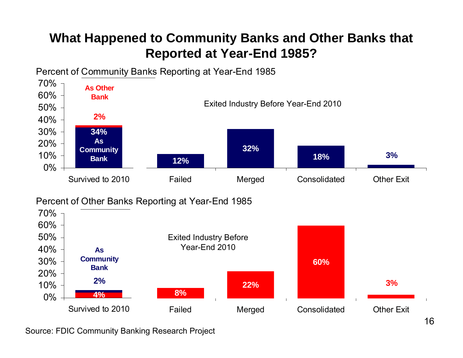#### **What Happened to Community Banks and Other Banks that Reported at Year-End 1985?**

Percent of Community Banks Reporting at Year-End 1985

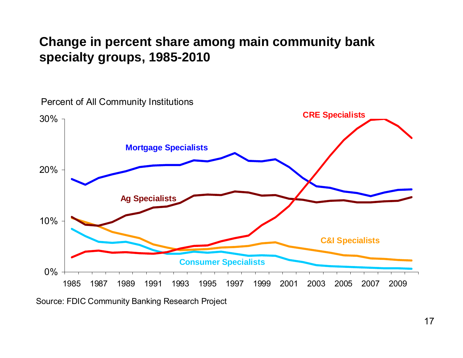#### **Change in percent share among main community bank specialty groups, 1985-2010**



Percent of All Community Institutions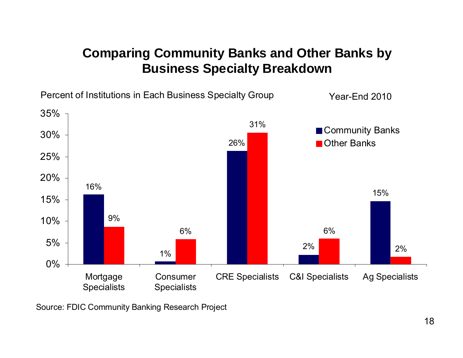#### **Comparing Community Banks and Other Banks by Business Specialty Breakdown**

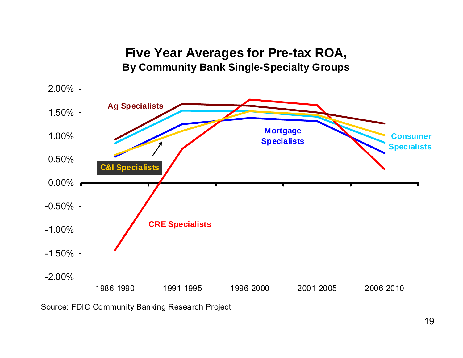#### **Five Year Averages for Pre-tax ROA, By Community Bank Single-Specialty Groups**

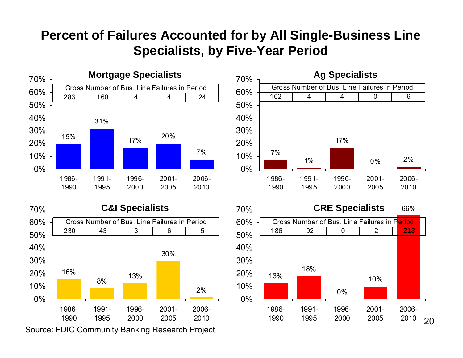#### **Percent of Failures Accounted for by All Single-Business Line Specialists, by Five-Year Period**



16%8% 13% 30%2%0%10%20%30%40%50%60%70%1986-19901991-19951996-20002001-20052006-2010**C&I Specialists** 230 43 3 6 5Gross Number of Bus. Line Failures in Period



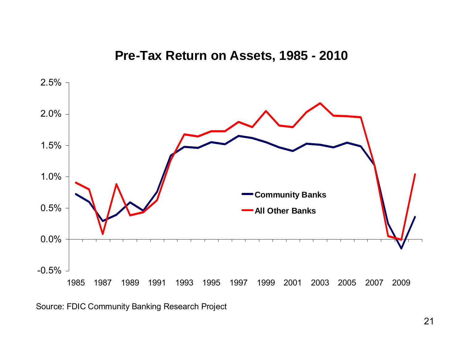**Pre-Tax Return on Assets, 1985 - 2010**

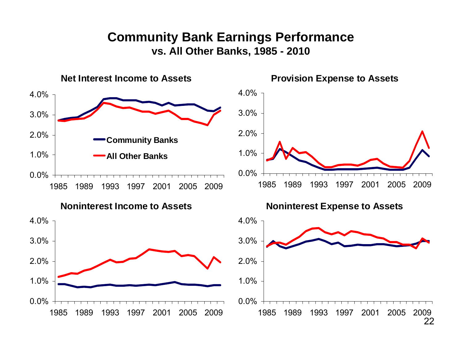#### **Community Bank Earnings Performance vs. All Other Banks, 1985 - 2010**

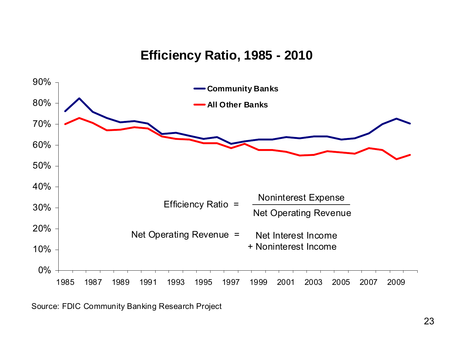#### **Efficiency Ratio, 1985 - 2010**

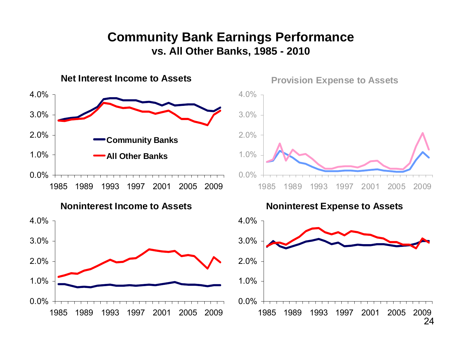#### **Community Bank Earnings Performance vs. All Other Banks, 1985 - 2010**